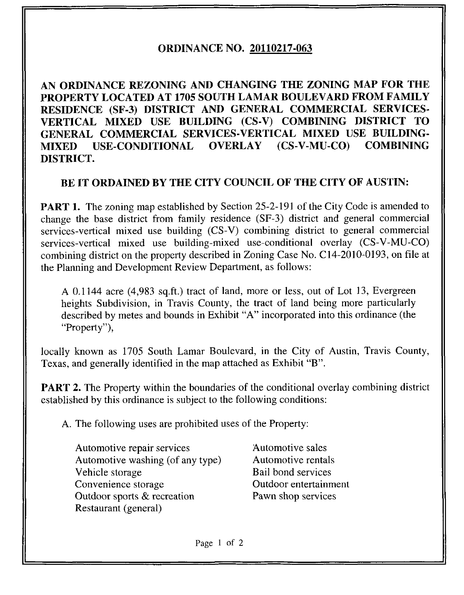## ORDINANCE NO. 20110217-063

AN ORDINANCE REZONING AND CHANGING THE ZONING MAP FOR THE PROPERTY LOCATED AT 1705 SOUTH LAMAR BOULEVARD FROM FAMILY RESIDENCE (SF-3) DISTRICT AND GENERAL COMMERCIAL SERVICES-VERTICAL MIXED USE BUILDING (CS-V) COMBINING DISTRICT TO GENERAL COMMERCIAL SERVICES-VERTICAL MIXED USE BUILDING-MIXED USE-CONDITIONAL OVERLAY (CS-V-MU-CO) COMBINING DISTRICT.

## BE IT ORDAINED BY THE CITY COUNCIL OF THE CITY OF AUSTIN:

PART 1. The zoning map established by Section 25-2-191 of the City Code is amended to change the base district from family residence (SF-3) district and general commercial services-vertical mixed use building (CS-V) combining district to general commercial services-vertical mixed use building-mixed use-conditional overlay (CS-V-MU-CO) combining district on the property described in Zoning Case No. C14-2010-0193, on file at the Planning and Development Review Department, as follows:

A 0.1144 acre (4,983 sq.ft.) tract of land, more or less, out of Lot 13, Evergreen heights Subdivision, in Travis County, the tract of land being more particularly described by metes and bounds in Exhibit "A" incorporated into this ordinance (the "Property"),

locally known as 1705 South Lamar Boulevard, in the City of Austin, Travis County, Texas, and generally identified in the map attached as Exhibit "B".

PART 2. The Property within the boundaries of the conditional overlay combining district established by this ordinance is subject to the following conditions:

A. The following uses are prohibited uses of the Property:

- Automotive repair services Automotive sales Automotive washing (of any type) Automotive rentals Vehicle storage Bail bond services Convenience storage **Convenience** Outdoor entertainment Outdoor sports & recreation Pawn shop services Restaurant (general)
	-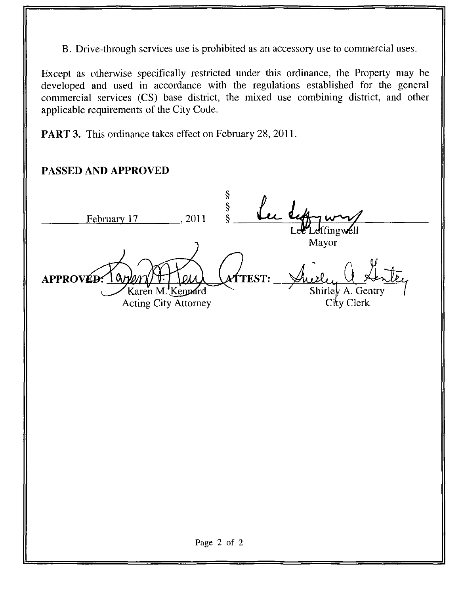B. Drive-through services use is prohibited as an accessory use to commercial uses.

Except as otherwise specifically restricted under this ordinance, the Property may be developed and used in accordance with the regulations established for the general commercial services (CS) base district, the mixed use combining district, and other applicable requirements of the City Code.

**PART 3.** This ordinance takes effect on February 28, 2011.

# PASSED AND APPROVED

February 17 APPROVÉD:  $\begin{array}{@{}c@{\hspace{1em}}c@{\hspace{1em}}c@{\hspace{1em}}c@{\hspace{1em}}c@{\hspace{1em}}c@{\hspace{1em}}c@{\hspace{1em}}c@{\hspace{1em}}c@{\hspace{1em}}c@{\hspace{1em}}c@{\hspace{1em}}c@{\hspace{1em}}c@{\hspace{1em}}c@{\hspace{1em}}c@{\hspace{1em}}c@{\hspace{1em}}c@{\hspace{1em}}c@{\hspace{1em}}c@{\hspace{1em}}c@{\hspace{1em}}c@{\hspace{1em}}c@{\hspace{1em}}c@{\hspace{1em}}c@{\hspace{$ Karen M. Kennard Acting City Attorney Le<sup>ur</sup>Leffingwell Mayor **TEST:** Shirley A. Gentry  $C$ ity Clerk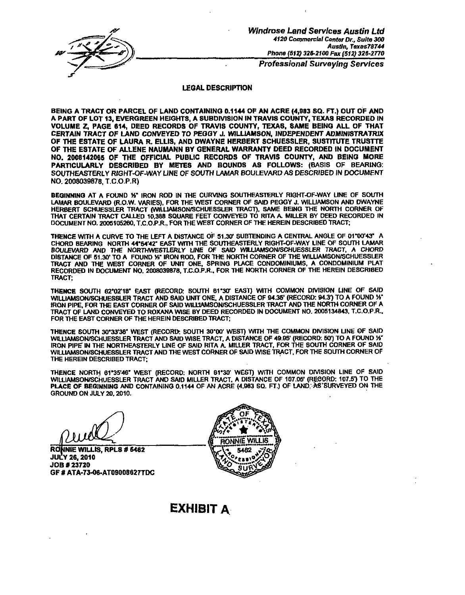

Wlndrose Land Services Austin Ltd 4120 Commercial Center Dr., Suite 300 Austin, Taxas78744 Phone (512) 326-2100 Fax (512) 326-2770

Professional Surveying Services

#### LEGAL DESCRIPTION

BEING A TRACT OR PARCEL OF LAND CONTAINING 0.1144 OF AN ACRE (4,983 SQ. FT.) OUT OF AND A PART OF LOT 13, EVERGREEN HEIGHTS, A SUBDIVISION IN TRAVIS COUNTY, TEXAS RECORDED IN VOLUME Z, PAGE 614, DEED RECORDS OF TRAVIS COUNTY, TEXAS, SAME BEING ALL OF THAT CERTAIN TRACT OF LAND CONVEYED TO PEGGY J. WILLIAMSON. INDEPENDENT ADMINISTRATRIX OF THE ESTATE OF LAURA R. ELLIS, AND DWAYNE HERBERT SCHUESSLER, SUSTTTUTE TRUSTTE OF THE ESTATE OF ALLENE NAUMANN BY GENERAL WARRANTY DEED RECORDED IN DOCUMENT NO. 2008142065 OF THE OFFICIAL PUBLIC RECORDS OF TRAVIS COUNTY, AND BEING MORE PARTICULARLY DESCRIBED BY METES AND BOUNDS AS FOLLOWS: (BASIS OF BEARING: SOUTHEASTERLY RIGHT-OF-WAY LINE OF SOUTH LAMAR BOULEVARD AS DESCRIBED IN DOCUMENT NO. 2008039878, T.C.O.P.R)

BEGINNING AT A FOUND %" IRON ROD IN THE CURVING SOUTHEASTERLY RIGHT-OF-WAY LINE OF SOUTH LAMAR BOULEVARD (R.O.W. VARIES), FOR THE WEST CORNER OF SAID PEGGY J. WILLIAMSON AND DWAYNE HERBERT SCHUESSLER TRACT (WlLUAMSON/SCHUESSLER TRACT). SAME BEING THE NORTH CORNER OF THAT CERTAIN TRACT CALLED 10.388 SQUARE FEET CONVEYED TO RITA A. MILLER BY DEED RECORDED IN DOCUMENT NO. 2005105260. T.C.O.P.R., FOR THE WEST CORNER OF THE HEREIN DESCRIBED TRACT;

THENCE WITH A CURVE TO THE LEFT A DISTANCE OF 51.30- SUBTENDING A CENTRAL ANGLE OF OrOO'43" A CHORD BEARING NORTH 44\*54'42" EAST WITH THE SOUTHEASTERLY RIGHT-OF-WAY LINE OF SOUTH LAMAR BOULEVARD AND THE NORTHWE6TLERLY UNE OF SAID WlLUAMSON/SCHUESSLER TRACT, A CHORD DISTANCE OF 51.30' TO A FOUND % IRON ROD. FOR THE NORTH CORNER OF THE WILLIAMSON/SCHUESSLER TRACT AND THE WEST CORNER OF UNFT ONE. SPRING PLACE CONDOMINIUMS, A CONDOMINIUM PLAT RECORDED IN DOCUMENT NO. 2008039878, T.C.O.P.R.. FOR THE NORTH CORNER OF THE HEREIN DESCRIBED TRACT;

THENCE SOUTH 62\*02'1B' EAST (RECORD: SOUTH 61\*30' EAST) WITH COMMON DIVISION LINE OF SAID WILLIAMSON/SCHUESSLER TRACT AND SAID UNIT ONE, A DISTANCE OF 94.35' (RECORD: 94.3') TO A FOUND 1⁄3" IRON PIPE, FOR THE EAST CORNER OF SAID WILLIAMSON/SCHUESSLER TRACT AND THE NORTH CORNER OF A TRACT OF LAND CONVEYED TO ROXANA WISE BY DEED RECORDED IN DOCUMENT NO. 2005134843, T.C.O.P.R.. FOR THE EAST CORNER OF THE HEREIN DESCRIBED TRACT;

THENCE SOUTH 30\*33'38' WEST (RECORD: SOUTH 30'00' WEST) WfTH THE COMMON DIVISION UNE OF SAID WILLIAMSON/SCHUESSLER TRACT AND SAID WISE TRACT, A DISTANCE OF 49.95' (RECORD: 50') TO A FOUND Y IRON PIPE IN THE NORTHEASTERLY LINE OF SAID RITA A. MILLER TRACT, FOR THE SOUTH CORNER OF SAID WILLIAMSON/SCHUESSLER TRACT AND THE WEST CORNER OF SAID WISE TRACT, FOR THE SOUTH CORNER OF THE HEREIN DESCRIBED TRACT;

THENCE NORTH 61"35'46" WEST (RECORD: NORTH 61\*30' WEST) WITH COMMON DIVISION LINE OF SAID WILLIAMSON/SCHUESSLER TRACT AND SAID MILLER TRACT. A DISTANCE OF 107.05' (RECORD: 107.5\*) TO THE PLACE OF BEGINNING AND CONTAINING 0.1144 OF AN ACRE (4,983 SQ. FT.) OF LAND, AS SURVEYED ON THE GROUND ON JULY 20. 2010.

RONNIE WILLIS, RPLS # 5462 JULY 26,2010 JOB\* 23720 GF # ATA-73-06-AT09008627TDC



## EXHIBIT A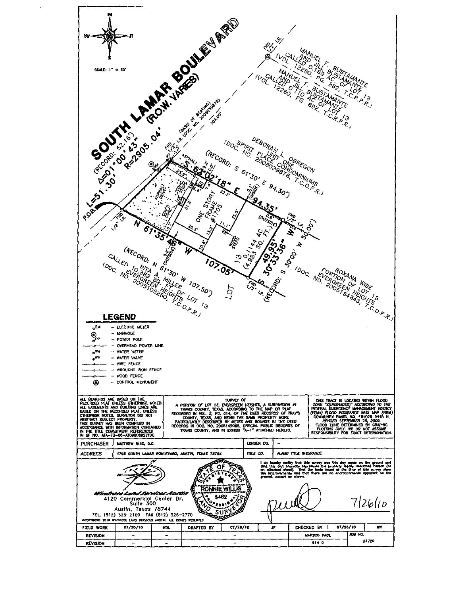